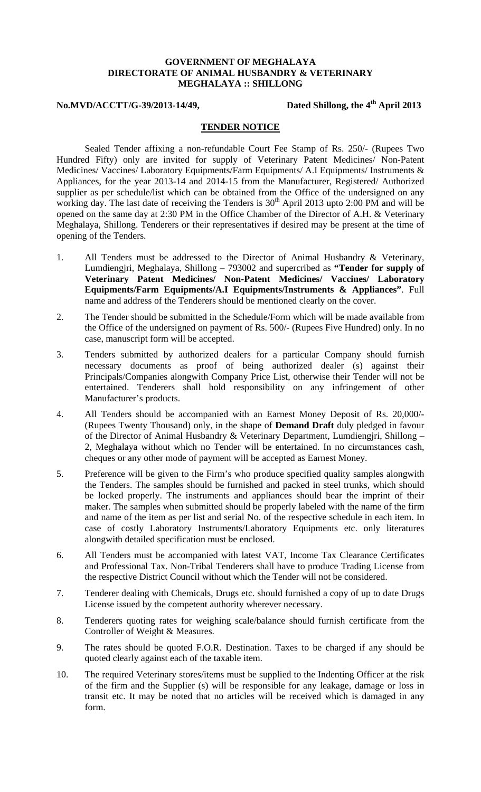## **GOVERNMENT OF MEGHALAYA DIRECTORATE OF ANIMAL HUSBANDRY & VETERINARY MEGHALAYA :: SHILLONG**

## **No.MVD/ACCTT/G-39/2013-14/49, Dated Shillong, the 4th April 2013**

## **TENDER NOTICE**

Sealed Tender affixing a non-refundable Court Fee Stamp of Rs. 250/- (Rupees Two Hundred Fifty) only are invited for supply of Veterinary Patent Medicines/ Non-Patent Medicines/ Vaccines/ Laboratory Equipments/Farm Equipments/ A.I Equipments/ Instruments & Appliances, for the year 2013-14 and 2014-15 from the Manufacturer, Registered/ Authorized supplier as per schedule/list which can be obtained from the Office of the undersigned on any working day. The last date of receiving the Tenders is 30<sup>th</sup> April 2013 upto 2:00 PM and will be opened on the same day at 2:30 PM in the Office Chamber of the Director of A.H. & Veterinary Meghalaya, Shillong. Tenderers or their representatives if desired may be present at the time of opening of the Tenders.

- 1. All Tenders must be addressed to the Director of Animal Husbandry & Veterinary, Lumdiengjri, Meghalaya, Shillong – 793002 and supercribed as **"Tender for supply of Veterinary Patent Medicines/ Non-Patent Medicines/ Vaccines/ Laboratory Equipments/Farm Equipments/A.I Equipments/Instruments & Appliances"**. Full name and address of the Tenderers should be mentioned clearly on the cover.
- 2. The Tender should be submitted in the Schedule/Form which will be made available from the Office of the undersigned on payment of Rs. 500/- (Rupees Five Hundred) only. In no case, manuscript form will be accepted.
- 3. Tenders submitted by authorized dealers for a particular Company should furnish necessary documents as proof of being authorized dealer (s) against their Principals/Companies alongwith Company Price List, otherwise their Tender will not be entertained. Tenderers shall hold responsibility on any infringement of other Manufacturer's products.
- 4. All Tenders should be accompanied with an Earnest Money Deposit of Rs. 20,000/- (Rupees Twenty Thousand) only, in the shape of **Demand Draft** duly pledged in favour of the Director of Animal Husbandry & Veterinary Department, Lumdiengjri, Shillong – 2, Meghalaya without which no Tender will be entertained. In no circumstances cash, cheques or any other mode of payment will be accepted as Earnest Money.
- 5. Preference will be given to the Firm's who produce specified quality samples alongwith the Tenders. The samples should be furnished and packed in steel trunks, which should be locked properly. The instruments and appliances should bear the imprint of their maker. The samples when submitted should be properly labeled with the name of the firm and name of the item as per list and serial No. of the respective schedule in each item. In case of costly Laboratory Instruments/Laboratory Equipments etc. only literatures alongwith detailed specification must be enclosed.
- 6. All Tenders must be accompanied with latest VAT, Income Tax Clearance Certificates and Professional Tax. Non-Tribal Tenderers shall have to produce Trading License from the respective District Council without which the Tender will not be considered.
- 7. Tenderer dealing with Chemicals, Drugs etc. should furnished a copy of up to date Drugs License issued by the competent authority wherever necessary.
- 8. Tenderers quoting rates for weighing scale/balance should furnish certificate from the Controller of Weight & Measures.
- 9. The rates should be quoted F.O.R. Destination. Taxes to be charged if any should be quoted clearly against each of the taxable item.
- 10. The required Veterinary stores/items must be supplied to the Indenting Officer at the risk of the firm and the Supplier (s) will be responsible for any leakage, damage or loss in transit etc. It may be noted that no articles will be received which is damaged in any form.